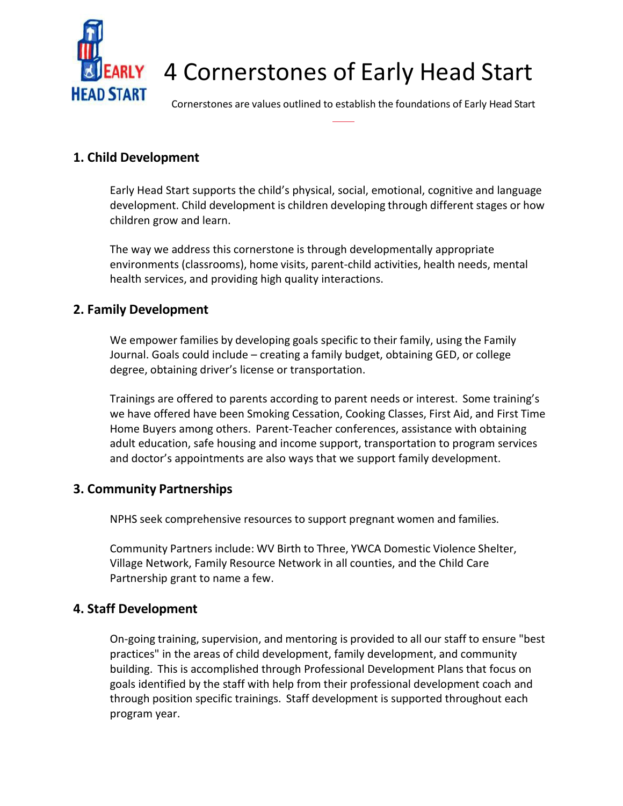

# 4 Cornerstones of Early Head Start

Cornerstones are values outlined to establish the foundations of Early Head Start

# **1. Child Development**

Early Head Start supports the child's physical, social, emotional, cognitive and language development. Child development is children developing through different stages or how children grow and learn.

The way we address this cornerstone is through developmentally appropriate environments (classrooms), home visits, parent-child activities, health needs, mental health services, and providing high quality interactions.

## **2. Family Development**

We empower families by developing goals specific to their family, using the Family Journal. Goals could include – creating a family budget, obtaining GED, or college degree, obtaining driver's license or transportation.

Trainings are offered to parents according to parent needs or interest. Some training's we have offered have been Smoking Cessation, Cooking Classes, First Aid, and First Time Home Buyers among others. Parent-Teacher conferences, assistance with obtaining adult education, safe housing and income support, transportation to program services and doctor's appointments are also ways that we support family development.

### **3. Community Partnerships**

NPHS seek comprehensive resources to support pregnant women and families.

Community Partners include: WV Birth to Three, YWCA Domestic Violence Shelter, Village Network, Family Resource Network in all counties, and the Child Care Partnership grant to name a few.

### **4. Staff Development**

On-going training, supervision, and mentoring is provided to all our staff to ensure "best practices" in the areas of child development, family development, and community building. This is accomplished through Professional Development Plans that focus on goals identified by the staff with help from their professional development coach and through position specific trainings. Staff development is supported throughout each program year.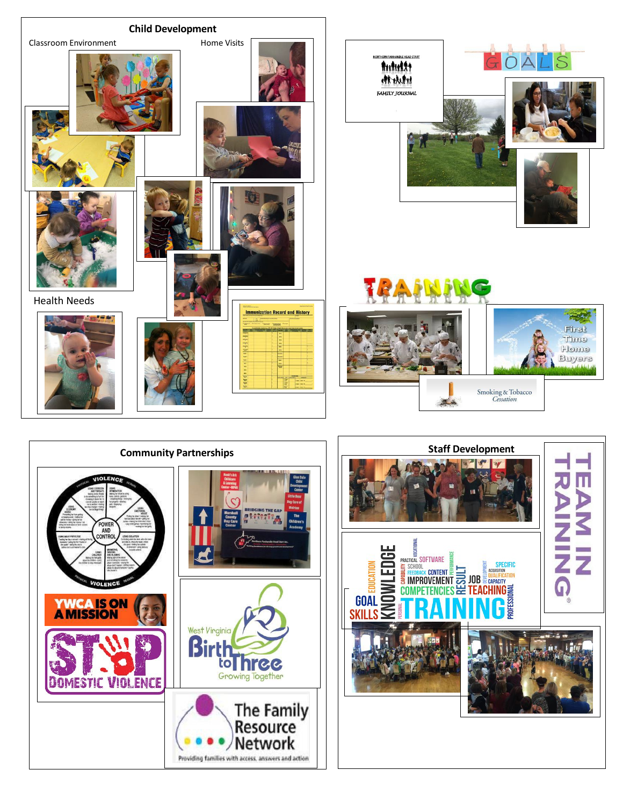